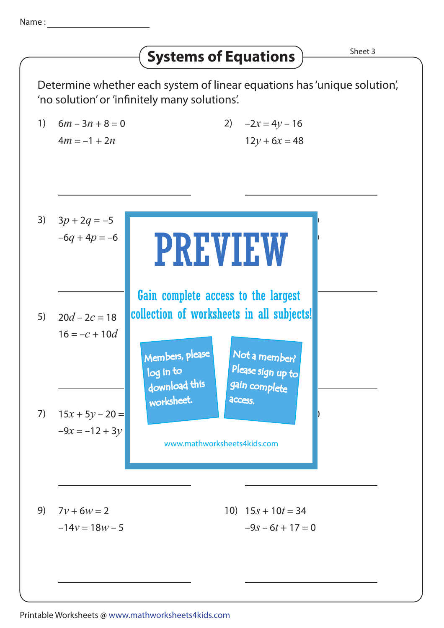